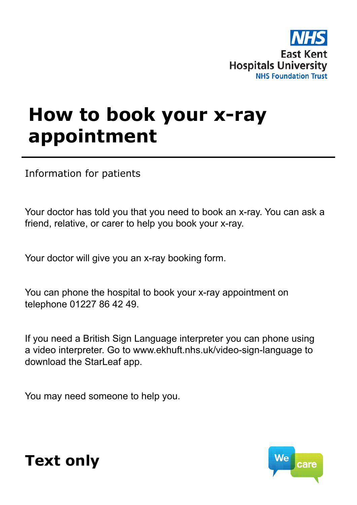

## **How to book your x-ray appointment**

Information for patients

Your doctor has told you that you need to book an x-ray. You can ask a friend, relative, or carer to help you book your x-ray.

Your doctor will give you an x-ray booking form.

You can phone the hospital to book your x-ray appointment on telephone 01227 86 42 49.

If you need a British Sign Language interpreter you can phone using a video interpreter. Go to www.ekhuft.nhs.uk/video-sign-language to download the StarLeaf app.

You may need someone to help you.



## **Text only**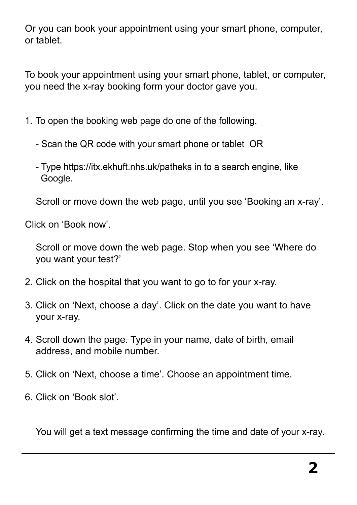Or you can book your appointment using your smart phone, computer, or tablet.

To book your appointment using your smart phone, tablet, or computer, you need the x-ray booking form your doctor gave you.

- 1. To open the booking web page do one of the following.
	- Scan the QR code with your smart phone or tablet OR
	- Type https://itx.ekhuft.nhs.uk/patheks in to a search engine, like Google.

Scroll or move down the web page, until you see 'Booking an x-ray'.

Click on 'Book now'.

Scroll or move down the web page. Stop when you see 'Where do you want your test?'

- 2. Click on the hospital that you want to go to for your x-ray.
- 3. Click on 'Next, choose a day'. Click on the date you want to have your x-ray.
- 4. Scroll down the page. Type in your name, date of birth, email address, and mobile number.
- 5. Click on 'Next, choose a time'. Choose an appointment time.
- 6. Click on 'Book slot'.

You will get a text message confirming the time and date of your x-ray.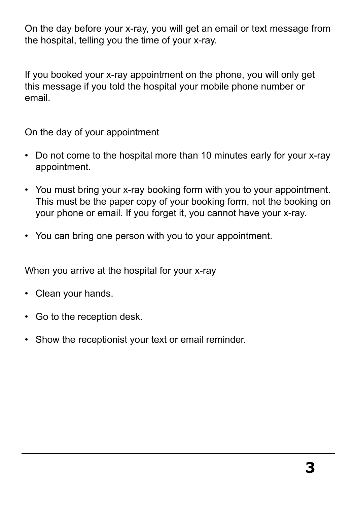On the day before your x-ray, you will get an email or text message from the hospital, telling you the time of your x-ray.

If you booked your x-ray appointment on the phone, you will only get this message if you told the hospital your mobile phone number or email.

On the day of your appointment

- Do not come to the hospital more than 10 minutes early for your x-ray appointment.
- You must bring your x-ray booking form with you to your appointment. This must be the paper copy of your booking form, not the booking on your phone or email. If you forget it, you cannot have your x-ray.
- You can bring one person with you to your appointment.

When you arrive at the hospital for your x-ray

- Clean your hands.
- Go to the reception desk.
- Show the receptionist your text or email reminder.